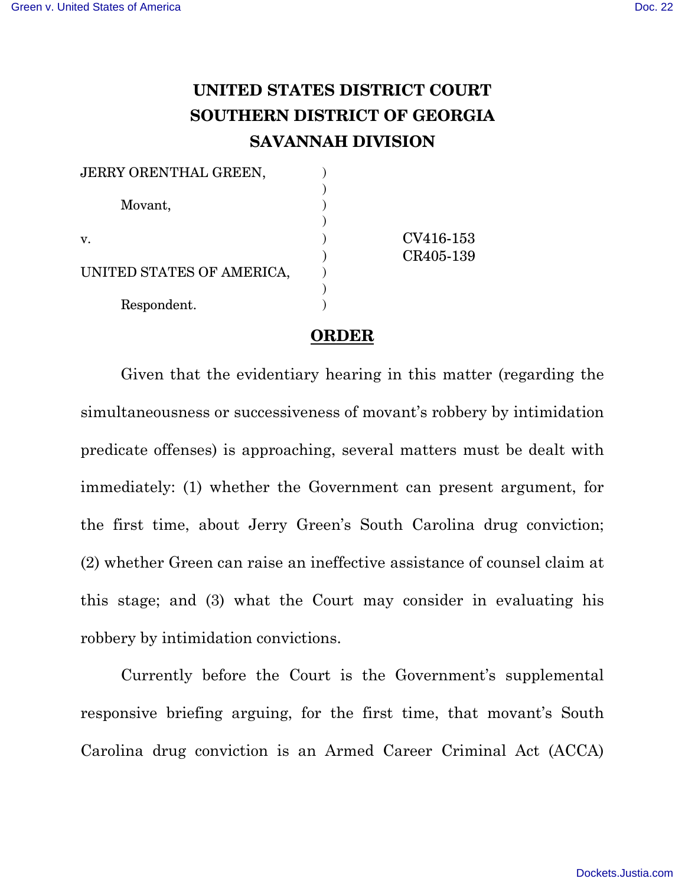## **UNITED STATES DISTRICT COURT SOUTHERN DISTRICT OF GEORGIA SAVANNAH DIVISION**

| CV416-153 |
|-----------|
| CR405-139 |
|           |
|           |
|           |
|           |

## **ORDER**

Given that the evidentiary hearing in this matter (regarding the simultaneousness or successiveness of movant's robbery by intimidation predicate offenses) is approaching, several matters must be dealt with immediately: (1) whether the Government can present argument, for the first time, about Jerry Green's South Carolina drug conviction; (2) whether Green can raise an ineffective assistance of counsel claim at this stage; and (3) what the Court may consider in evaluating his robbery by intimidation convictions.

Currently before the Court is the Government's supplemental responsive briefing arguing, for the first time, that movant's South Carolina drug conviction is an Armed Career Criminal Act (ACCA)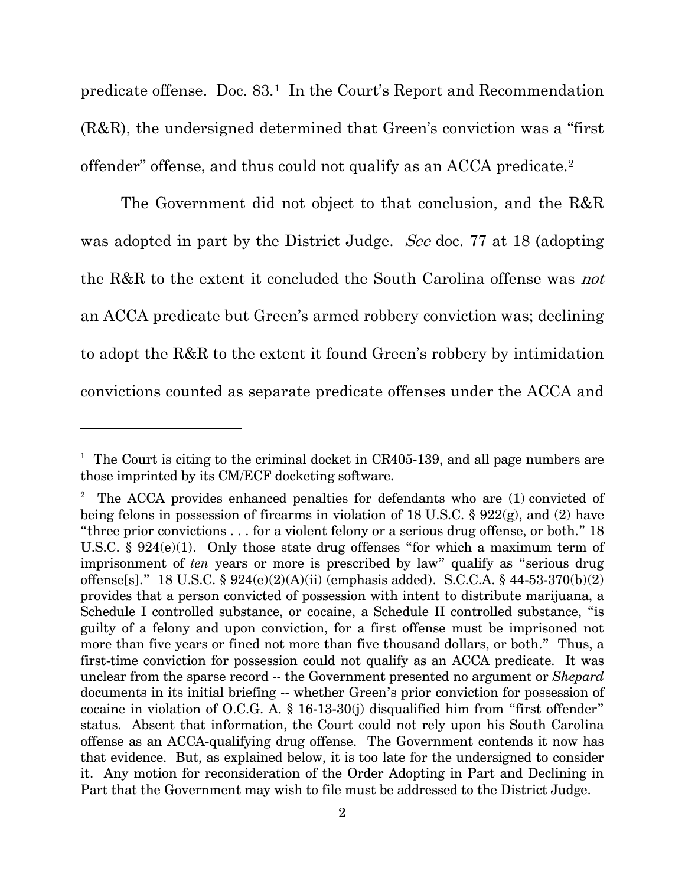predicate offense. Doc. 83.[1](#page-1-0) In the Court's Report and Recommendation (R&R), the undersigned determined that Green's conviction was a "first offender" offense, and thus could not qualify as an ACCA predicate.[2](#page-1-1)

The Government did not object to that conclusion, and the R&R was adopted in part by the District Judge. See doc. 77 at 18 (adopting the R&R to the extent it concluded the South Carolina offense was not an ACCA predicate but Green's armed robbery conviction was; declining to adopt the R&R to the extent it found Green's robbery by intimidation convictions counted as separate predicate offenses under the ACCA and

-

<span id="page-1-0"></span><sup>&</sup>lt;sup>1</sup> The Court is citing to the criminal docket in CR405-139, and all page numbers are those imprinted by its CM/ECF docketing software.

<span id="page-1-1"></span><sup>&</sup>lt;sup>2</sup> The ACCA provides enhanced penalties for defendants who are  $(1)$  convicted of being felons in possession of firearms in violation of 18 U.S.C. § 922(g), and (2) have "three prior convictions  $\dots$  for a violent felony or a serious drug offense, or both." 18 U.S.C. § 924(e)(1). Only those state drug offenses "for which a maximum term of imprisonment of *ten* years or more is prescribed by law" qualify as "serious drug offense[s]." 18 U.S.C. §  $924(e)(2)(A)(ii)$  (emphasis added). S.C.C.A. § 44-53-370(b)(2) provides that a person convicted of possession with intent to distribute marijuana, a Schedule I controlled substance, or cocaine, a Schedule II controlled substance, "is guilty of a felony and upon conviction, for a first offense must be imprisoned not more than five years or fined not more than five thousand dollars, or both." Thus, a first-time conviction for possession could not qualify as an ACCA predicate. It was unclear from the sparse record -- the Government presented no argument or *Shepard* documents in its initial briefing -- whether Green's prior conviction for possession of cocaine in violation of O.C.G. A. § 16-13-30(j) disqualified him from "first offender" status. Absent that information, the Court could not rely upon his South Carolina offense as an ACCA-qualifying drug offense. The Government contends it now has that evidence. But, as explained below, it is too late for the undersigned to consider it. Any motion for reconsideration of the Order Adopting in Part and Declining in Part that the Government may wish to file must be addressed to the District Judge.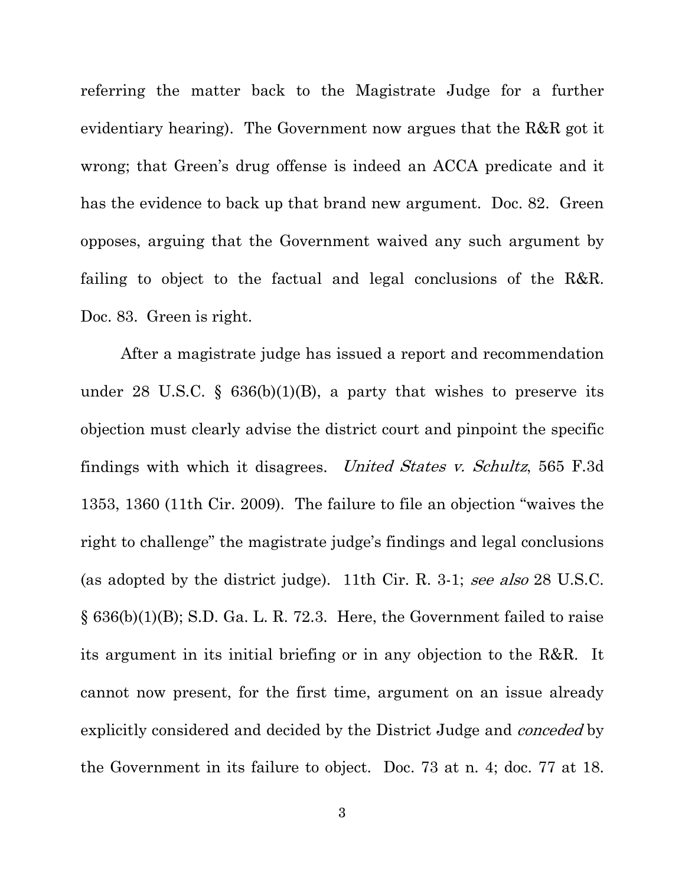referring the matter back to the Magistrate Judge for a further evidentiary hearing). The Government now argues that the R&R got it wrong; that Green's drug offense is indeed an ACCA predicate and it has the evidence to back up that brand new argument. Doc. 82. Green opposes, arguing that the Government waived any such argument by failing to object to the factual and legal conclusions of the R&R. Doc. 83. Green is right.

After a magistrate judge has issued a report and recommendation under 28 U.S.C. §  $636(b)(1)(B)$ , a party that wishes to preserve its objection must clearly advise the district court and pinpoint the specific findings with which it disagrees. United States v. Schultz, 565 F.3d 1353, 1360 (11th Cir. 2009). The failure to file an objection "waives the right to challenge" the magistrate judge's findings and legal conclusions (as adopted by the district judge). 11th Cir. R. 3-1; see also 28 U.S.C.  $\S 636(b)(1)(B)$ ; S.D. Ga. L. R. 72.3. Here, the Government failed to raise its argument in its initial briefing or in any objection to the R&R. It cannot now present, for the first time, argument on an issue already explicitly considered and decided by the District Judge and conceded by the Government in its failure to object. Doc. 73 at n. 4; doc. 77 at 18.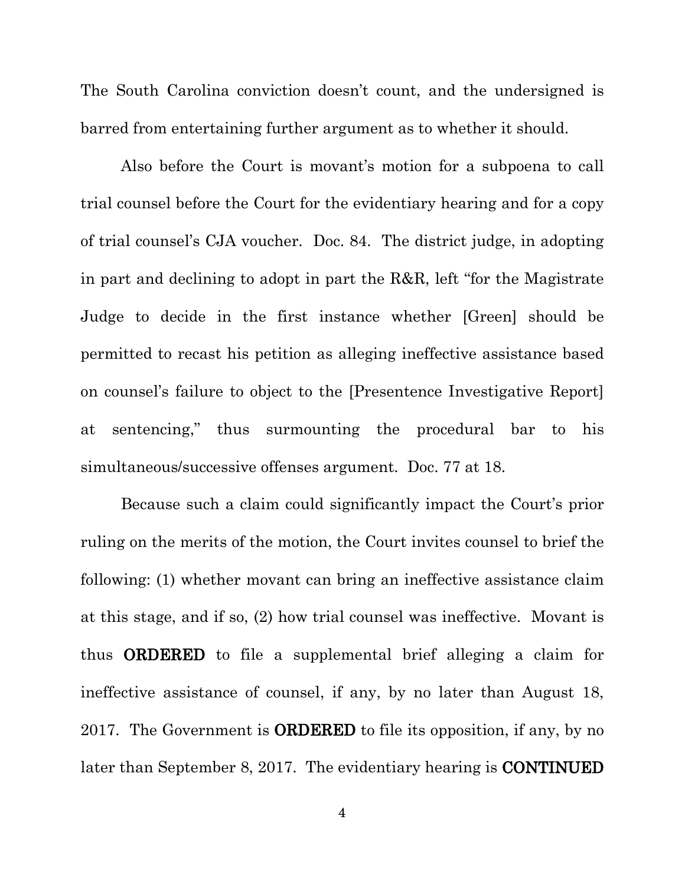The South Carolina conviction doesn't count, and the undersigned is barred from entertaining further argument as to whether it should.

Also before the Court is movant's motion for a subpoena to call trial counsel before the Court for the evidentiary hearing and for a copy of trial counsel's CJA voucher. Doc. 84. The district judge, in adopting in part and declining to adopt in part the R&R, left "for the Magistrate Judge to decide in the first instance whether [Green] should be permitted to recast his petition as alleging ineffective assistance based on counsel's failure to object to the [Presentence Investigative Report] at sentencing," thus surmounting the procedural bar to his simultaneous/successive offenses argument. Doc. 77 at 18.

Because such a claim could significantly impact the Court's prior ruling on the merits of the motion, the Court invites counsel to brief the following: (1) whether movant can bring an ineffective assistance claim at this stage, and if so, (2) how trial counsel was ineffective. Movant is thus ORDERED to file a supplemental brief alleging a claim for ineffective assistance of counsel, if any, by no later than August 18, 2017. The Government is ORDERED to file its opposition, if any, by no later than September 8, 2017. The evidentiary hearing is CONTINUED